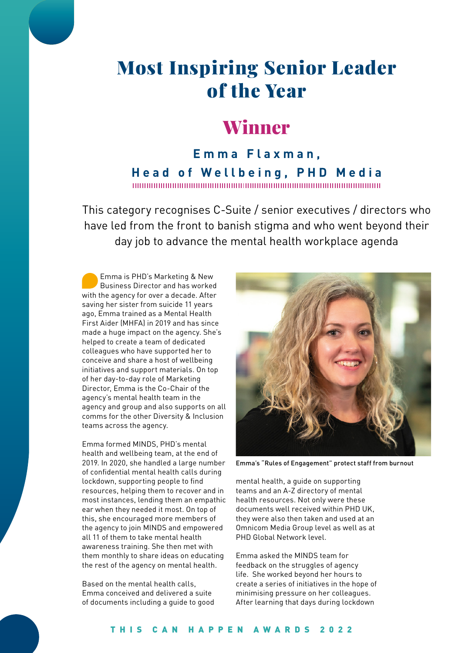# Most Inspiring Senior Leader of the Year

## Winner

**Emma Flaxman, Head of Wellbeing, PHD Media** 

This category recognises C-Suite / senior executives / directors who have led from the front to banish stigma and who went beyond their day job to advance the mental health workplace agenda

Emma is PHD's Marketing & New Business Director and has worked with the agency for over a decade. After saving her sister from suicide 11 years ago, Emma trained as a Mental Health First Aider (MHFA) in 2019 and has since made a huge impact on the agency. She's helped to create a team of dedicated colleagues who have supported her to conceive and share a host of wellbeing initiatives and support materials. On top of her day-to-day role of Marketing Director, Emma is the Co-Chair of the agency's mental health team in the agency and group and also supports on all comms for the other Diversity & Inclusion teams across the agency.

Emma formed MINDS, PHD's mental health and wellbeing team, at the end of 2019. In 2020, she handled a large number of confidential mental health calls during lockdown, supporting people to find resources, helping them to recover and in most instances, lending them an empathic ear when they needed it most. On top of this, she encouraged more members of the agency to join MINDS and empowered all 11 of them to take mental health awareness training. She then met with them monthly to share ideas on educating the rest of the agency on mental health.

Based on the mental health calls, Emma conceived and delivered a suite of documents including a guide to good



Emma's "Rules of Engagement" protect staff from burnout

mental health, a guide on supporting teams and an A-Z directory of mental health resources. Not only were these documents well received within PHD UK, they were also then taken and used at an Omnicom Media Group level as well as at PHD Global Network level.

Emma asked the MINDS team for feedback on the struggles of agency life. She worked beyond her hours to create a series of initiatives in the hope of minimising pressure on her colleagues. After learning that days during lockdown

#### THIS CAN HAPPEN AWARDS 2022